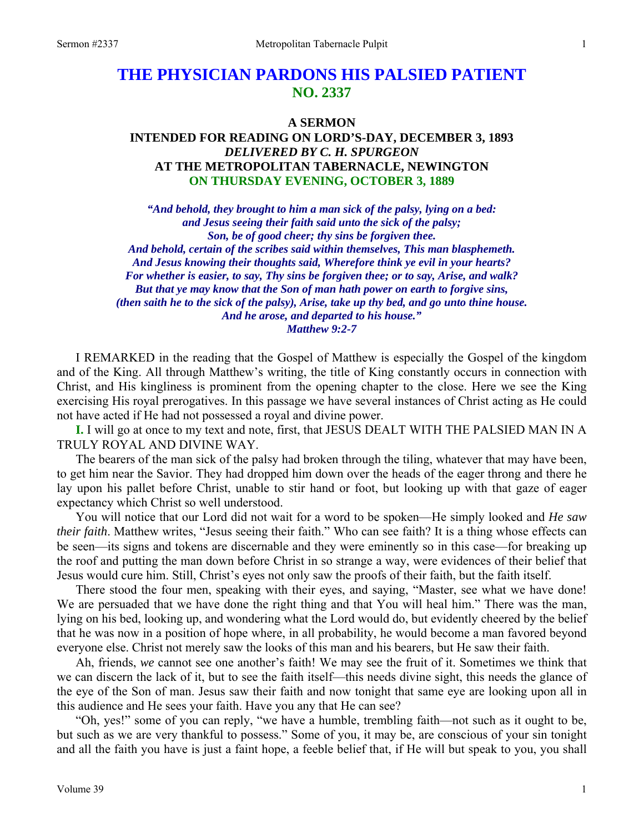# **THE PHYSICIAN PARDONS HIS PALSIED PATIENT NO. 2337**

### **A SERMON**

# **INTENDED FOR READING ON LORD'S-DAY, DECEMBER 3, 1893**  *DELIVERED BY C. H. SPURGEON*  **AT THE METROPOLITAN TABERNACLE, NEWINGTON ON THURSDAY EVENING, OCTOBER 3, 1889**

*"And behold, they brought to him a man sick of the palsy, lying on a bed: and Jesus seeing their faith said unto the sick of the palsy; Son, be of good cheer; thy sins be forgiven thee. And behold, certain of the scribes said within themselves, This man blasphemeth. And Jesus knowing their thoughts said, Wherefore think ye evil in your hearts? For whether is easier, to say, Thy sins be forgiven thee; or to say, Arise, and walk? But that ye may know that the Son of man hath power on earth to forgive sins, (then saith he to the sick of the palsy), Arise, take up thy bed, and go unto thine house. And he arose, and departed to his house." Matthew 9:2-7* 

I REMARKED in the reading that the Gospel of Matthew is especially the Gospel of the kingdom and of the King. All through Matthew's writing, the title of King constantly occurs in connection with Christ, and His kingliness is prominent from the opening chapter to the close. Here we see the King exercising His royal prerogatives. In this passage we have several instances of Christ acting as He could not have acted if He had not possessed a royal and divine power.

**I.** I will go at once to my text and note, first, that JESUS DEALT WITH THE PALSIED MAN IN A TRULY ROYAL AND DIVINE WAY.

The bearers of the man sick of the palsy had broken through the tiling, whatever that may have been, to get him near the Savior. They had dropped him down over the heads of the eager throng and there he lay upon his pallet before Christ, unable to stir hand or foot, but looking up with that gaze of eager expectancy which Christ so well understood.

You will notice that our Lord did not wait for a word to be spoken—He simply looked and *He saw their faith*. Matthew writes, "Jesus seeing their faith." Who can see faith? It is a thing whose effects can be seen—its signs and tokens are discernable and they were eminently so in this case—for breaking up the roof and putting the man down before Christ in so strange a way, were evidences of their belief that Jesus would cure him. Still, Christ's eyes not only saw the proofs of their faith, but the faith itself.

There stood the four men, speaking with their eyes, and saying, "Master, see what we have done! We are persuaded that we have done the right thing and that You will heal him." There was the man, lying on his bed, looking up, and wondering what the Lord would do, but evidently cheered by the belief that he was now in a position of hope where, in all probability, he would become a man favored beyond everyone else. Christ not merely saw the looks of this man and his bearers, but He saw their faith.

Ah, friends, *we* cannot see one another's faith! We may see the fruit of it. Sometimes we think that we can discern the lack of it, but to see the faith itself—this needs divine sight, this needs the glance of the eye of the Son of man. Jesus saw their faith and now tonight that same eye are looking upon all in this audience and He sees your faith. Have you any that He can see?

"Oh, yes!" some of you can reply, "we have a humble, trembling faith—not such as it ought to be, but such as we are very thankful to possess." Some of you, it may be, are conscious of your sin tonight and all the faith you have is just a faint hope, a feeble belief that, if He will but speak to you, you shall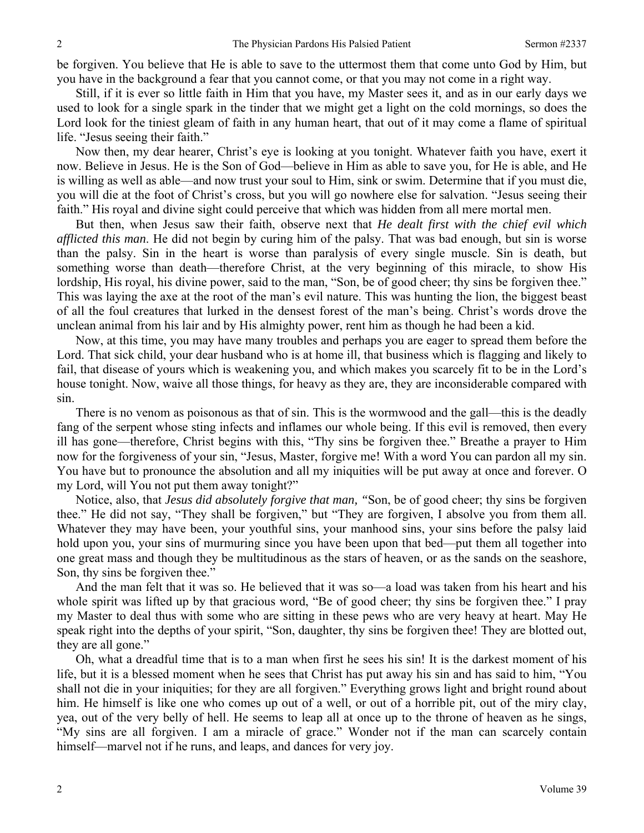be forgiven. You believe that He is able to save to the uttermost them that come unto God by Him, but you have in the background a fear that you cannot come, or that you may not come in a right way.

Still, if it is ever so little faith in Him that you have, my Master sees it, and as in our early days we used to look for a single spark in the tinder that we might get a light on the cold mornings, so does the Lord look for the tiniest gleam of faith in any human heart, that out of it may come a flame of spiritual life. "Jesus seeing their faith."

Now then, my dear hearer, Christ's eye is looking at you tonight. Whatever faith you have, exert it now. Believe in Jesus. He is the Son of God—believe in Him as able to save you, for He is able, and He is willing as well as able—and now trust your soul to Him, sink or swim. Determine that if you must die, you will die at the foot of Christ's cross, but you will go nowhere else for salvation. "Jesus seeing their faith." His royal and divine sight could perceive that which was hidden from all mere mortal men.

But then, when Jesus saw their faith, observe next that *He dealt first with the chief evil which afflicted this man*. He did not begin by curing him of the palsy. That was bad enough, but sin is worse than the palsy. Sin in the heart is worse than paralysis of every single muscle. Sin is death, but something worse than death—therefore Christ, at the very beginning of this miracle, to show His lordship, His royal, his divine power, said to the man, "Son, be of good cheer; thy sins be forgiven thee." This was laying the axe at the root of the man's evil nature. This was hunting the lion, the biggest beast of all the foul creatures that lurked in the densest forest of the man's being. Christ's words drove the unclean animal from his lair and by His almighty power, rent him as though he had been a kid.

Now, at this time, you may have many troubles and perhaps you are eager to spread them before the Lord. That sick child, your dear husband who is at home ill, that business which is flagging and likely to fail, that disease of yours which is weakening you, and which makes you scarcely fit to be in the Lord's house tonight. Now, waive all those things, for heavy as they are, they are inconsiderable compared with sin.

There is no venom as poisonous as that of sin. This is the wormwood and the gall—this is the deadly fang of the serpent whose sting infects and inflames our whole being. If this evil is removed, then every ill has gone—therefore, Christ begins with this, "Thy sins be forgiven thee." Breathe a prayer to Him now for the forgiveness of your sin, "Jesus, Master, forgive me! With a word You can pardon all my sin. You have but to pronounce the absolution and all my iniquities will be put away at once and forever. O my Lord, will You not put them away tonight?"

Notice, also, that *Jesus did absolutely forgive that man, "*Son, be of good cheer; thy sins be forgiven thee." He did not say, "They shall be forgiven," but "They are forgiven, I absolve you from them all. Whatever they may have been, your youthful sins, your manhood sins, your sins before the palsy laid hold upon you, your sins of murmuring since you have been upon that bed—put them all together into one great mass and though they be multitudinous as the stars of heaven, or as the sands on the seashore, Son, thy sins be forgiven thee."

And the man felt that it was so. He believed that it was so—a load was taken from his heart and his whole spirit was lifted up by that gracious word, "Be of good cheer; thy sins be forgiven thee." I pray my Master to deal thus with some who are sitting in these pews who are very heavy at heart. May He speak right into the depths of your spirit, "Son, daughter, thy sins be forgiven thee! They are blotted out, they are all gone."

Oh, what a dreadful time that is to a man when first he sees his sin! It is the darkest moment of his life, but it is a blessed moment when he sees that Christ has put away his sin and has said to him, "You shall not die in your iniquities; for they are all forgiven." Everything grows light and bright round about him. He himself is like one who comes up out of a well, or out of a horrible pit, out of the miry clay, yea, out of the very belly of hell. He seems to leap all at once up to the throne of heaven as he sings, "My sins are all forgiven. I am a miracle of grace." Wonder not if the man can scarcely contain himself—marvel not if he runs, and leaps, and dances for very joy.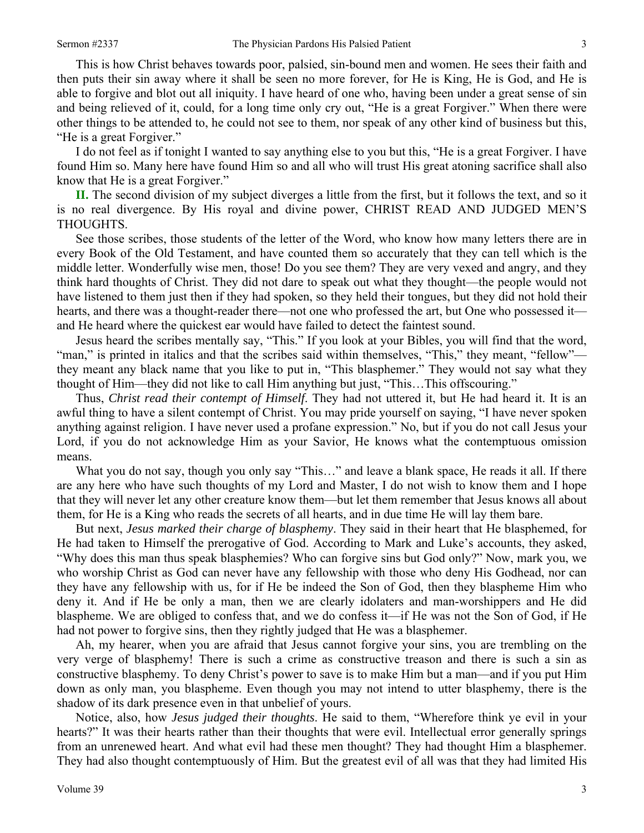This is how Christ behaves towards poor, palsied, sin-bound men and women. He sees their faith and then puts their sin away where it shall be seen no more forever, for He is King, He is God, and He is able to forgive and blot out all iniquity. I have heard of one who, having been under a great sense of sin and being relieved of it, could, for a long time only cry out, "He is a great Forgiver." When there were other things to be attended to, he could not see to them, nor speak of any other kind of business but this, "He is a great Forgiver."

I do not feel as if tonight I wanted to say anything else to you but this, "He is a great Forgiver. I have found Him so. Many here have found Him so and all who will trust His great atoning sacrifice shall also know that He is a great Forgiver."

**II.** The second division of my subject diverges a little from the first, but it follows the text, and so it is no real divergence. By His royal and divine power, CHRIST READ AND JUDGED MEN'S THOUGHTS.

See those scribes, those students of the letter of the Word, who know how many letters there are in every Book of the Old Testament, and have counted them so accurately that they can tell which is the middle letter. Wonderfully wise men, those! Do you see them? They are very vexed and angry, and they think hard thoughts of Christ. They did not dare to speak out what they thought—the people would not have listened to them just then if they had spoken, so they held their tongues, but they did not hold their hearts, and there was a thought-reader there—not one who professed the art, but One who possessed it and He heard where the quickest ear would have failed to detect the faintest sound.

Jesus heard the scribes mentally say, "This." If you look at your Bibles, you will find that the word, "man," is printed in italics and that the scribes said within themselves, "This," they meant, "fellow" they meant any black name that you like to put in, "This blasphemer." They would not say what they thought of Him—they did not like to call Him anything but just, "This…This offscouring."

Thus, *Christ read their contempt of Himself*. They had not uttered it, but He had heard it. It is an awful thing to have a silent contempt of Christ. You may pride yourself on saying, "I have never spoken anything against religion. I have never used a profane expression." No, but if you do not call Jesus your Lord, if you do not acknowledge Him as your Savior, He knows what the contemptuous omission means.

What you do not say, though you only say "This..." and leave a blank space, He reads it all. If there are any here who have such thoughts of my Lord and Master, I do not wish to know them and I hope that they will never let any other creature know them—but let them remember that Jesus knows all about them, for He is a King who reads the secrets of all hearts, and in due time He will lay them bare.

But next, *Jesus marked their charge of blasphemy*. They said in their heart that He blasphemed, for He had taken to Himself the prerogative of God. According to Mark and Luke's accounts, they asked, "Why does this man thus speak blasphemies? Who can forgive sins but God only?" Now, mark you, we who worship Christ as God can never have any fellowship with those who deny His Godhead, nor can they have any fellowship with us, for if He be indeed the Son of God, then they blaspheme Him who deny it. And if He be only a man, then we are clearly idolaters and man-worshippers and He did blaspheme. We are obliged to confess that, and we do confess it—if He was not the Son of God, if He had not power to forgive sins, then they rightly judged that He was a blasphemer.

Ah, my hearer, when you are afraid that Jesus cannot forgive your sins, you are trembling on the very verge of blasphemy! There is such a crime as constructive treason and there is such a sin as constructive blasphemy. To deny Christ's power to save is to make Him but a man—and if you put Him down as only man, you blaspheme. Even though you may not intend to utter blasphemy, there is the shadow of its dark presence even in that unbelief of yours.

Notice, also, how *Jesus judged their thoughts*. He said to them, "Wherefore think ye evil in your hearts?" It was their hearts rather than their thoughts that were evil. Intellectual error generally springs from an unrenewed heart. And what evil had these men thought? They had thought Him a blasphemer. They had also thought contemptuously of Him. But the greatest evil of all was that they had limited His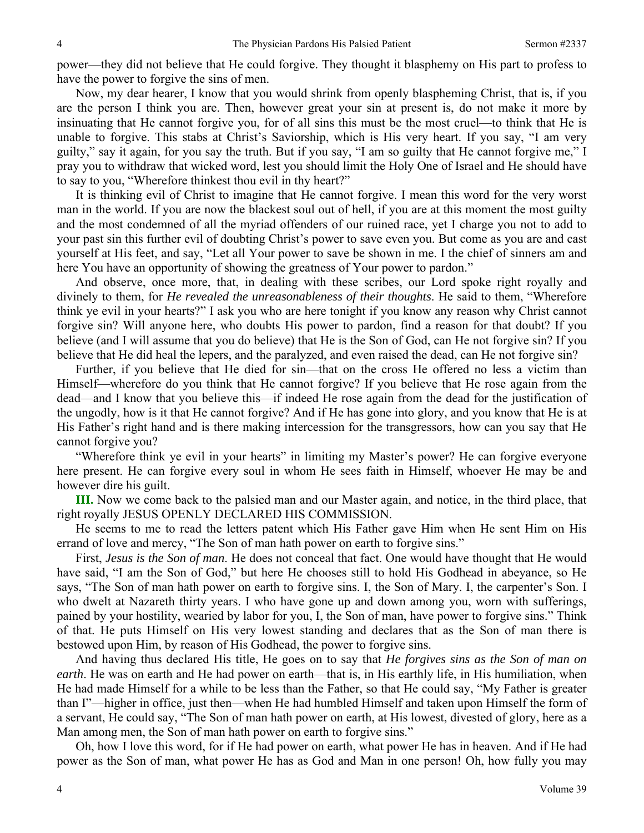power—they did not believe that He could forgive. They thought it blasphemy on His part to profess to have the power to forgive the sins of men.

Now, my dear hearer, I know that you would shrink from openly blaspheming Christ, that is, if you are the person I think you are. Then, however great your sin at present is, do not make it more by insinuating that He cannot forgive you, for of all sins this must be the most cruel—to think that He is unable to forgive. This stabs at Christ's Saviorship, which is His very heart. If you say, "I am very guilty," say it again, for you say the truth. But if you say, "I am so guilty that He cannot forgive me," I pray you to withdraw that wicked word, lest you should limit the Holy One of Israel and He should have to say to you, "Wherefore thinkest thou evil in thy heart?"

It is thinking evil of Christ to imagine that He cannot forgive. I mean this word for the very worst man in the world. If you are now the blackest soul out of hell, if you are at this moment the most guilty and the most condemned of all the myriad offenders of our ruined race, yet I charge you not to add to your past sin this further evil of doubting Christ's power to save even you. But come as you are and cast yourself at His feet, and say, "Let all Your power to save be shown in me. I the chief of sinners am and here You have an opportunity of showing the greatness of Your power to pardon."

And observe, once more, that, in dealing with these scribes, our Lord spoke right royally and divinely to them, for *He revealed the unreasonableness of their thoughts*. He said to them, "Wherefore think ye evil in your hearts?" I ask you who are here tonight if you know any reason why Christ cannot forgive sin? Will anyone here, who doubts His power to pardon, find a reason for that doubt? If you believe (and I will assume that you do believe) that He is the Son of God, can He not forgive sin? If you believe that He did heal the lepers, and the paralyzed, and even raised the dead, can He not forgive sin?

Further, if you believe that He died for sin—that on the cross He offered no less a victim than Himself—wherefore do you think that He cannot forgive? If you believe that He rose again from the dead—and I know that you believe this—if indeed He rose again from the dead for the justification of the ungodly, how is it that He cannot forgive? And if He has gone into glory, and you know that He is at His Father's right hand and is there making intercession for the transgressors, how can you say that He cannot forgive you?

"Wherefore think ye evil in your hearts" in limiting my Master's power? He can forgive everyone here present. He can forgive every soul in whom He sees faith in Himself, whoever He may be and however dire his guilt.

**III.** Now we come back to the palsied man and our Master again, and notice, in the third place, that right royally JESUS OPENLY DECLARED HIS COMMISSION.

He seems to me to read the letters patent which His Father gave Him when He sent Him on His errand of love and mercy, "The Son of man hath power on earth to forgive sins."

First, *Jesus is the Son of man*. He does not conceal that fact. One would have thought that He would have said, "I am the Son of God," but here He chooses still to hold His Godhead in abeyance, so He says, "The Son of man hath power on earth to forgive sins. I, the Son of Mary. I, the carpenter's Son. I who dwelt at Nazareth thirty years. I who have gone up and down among you, worn with sufferings, pained by your hostility, wearied by labor for you, I, the Son of man, have power to forgive sins." Think of that. He puts Himself on His very lowest standing and declares that as the Son of man there is bestowed upon Him, by reason of His Godhead, the power to forgive sins.

And having thus declared His title, He goes on to say that *He forgives sins as the Son of man on earth*. He was on earth and He had power on earth—that is, in His earthly life, in His humiliation, when He had made Himself for a while to be less than the Father, so that He could say, "My Father is greater than I"—higher in office, just then—when He had humbled Himself and taken upon Himself the form of a servant, He could say, "The Son of man hath power on earth, at His lowest, divested of glory, here as a Man among men, the Son of man hath power on earth to forgive sins."

Oh, how I love this word, for if He had power on earth, what power He has in heaven. And if He had power as the Son of man, what power He has as God and Man in one person! Oh, how fully you may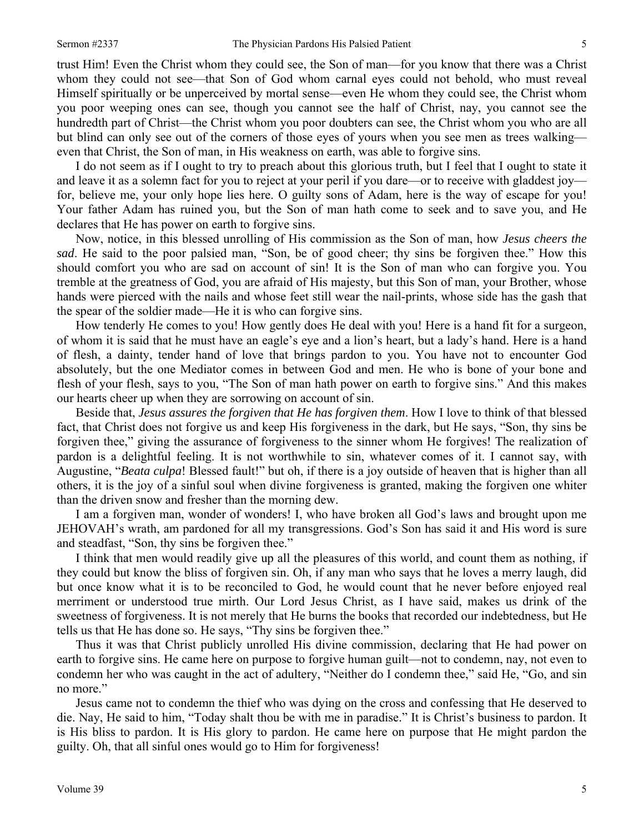trust Him! Even the Christ whom they could see, the Son of man—for you know that there was a Christ whom they could not see—that Son of God whom carnal eyes could not behold, who must reveal Himself spiritually or be unperceived by mortal sense—even He whom they could see, the Christ whom you poor weeping ones can see, though you cannot see the half of Christ, nay, you cannot see the hundredth part of Christ—the Christ whom you poor doubters can see, the Christ whom you who are all but blind can only see out of the corners of those eyes of yours when you see men as trees walking even that Christ, the Son of man, in His weakness on earth, was able to forgive sins.

I do not seem as if I ought to try to preach about this glorious truth, but I feel that I ought to state it and leave it as a solemn fact for you to reject at your peril if you dare—or to receive with gladdest joy for, believe me, your only hope lies here. O guilty sons of Adam, here is the way of escape for you! Your father Adam has ruined you, but the Son of man hath come to seek and to save you, and He declares that He has power on earth to forgive sins.

Now, notice, in this blessed unrolling of His commission as the Son of man, how *Jesus cheers the sad*. He said to the poor palsied man, "Son, be of good cheer; thy sins be forgiven thee." How this should comfort you who are sad on account of sin! It is the Son of man who can forgive you. You tremble at the greatness of God, you are afraid of His majesty, but this Son of man, your Brother, whose hands were pierced with the nails and whose feet still wear the nail-prints, whose side has the gash that the spear of the soldier made—He it is who can forgive sins.

How tenderly He comes to you! How gently does He deal with you! Here is a hand fit for a surgeon, of whom it is said that he must have an eagle's eye and a lion's heart, but a lady's hand. Here is a hand of flesh, a dainty, tender hand of love that brings pardon to you. You have not to encounter God absolutely, but the one Mediator comes in between God and men. He who is bone of your bone and flesh of your flesh, says to you, "The Son of man hath power on earth to forgive sins." And this makes our hearts cheer up when they are sorrowing on account of sin.

Beside that, *Jesus assures the forgiven that He has forgiven them*. How I love to think of that blessed fact, that Christ does not forgive us and keep His forgiveness in the dark, but He says, "Son, thy sins be forgiven thee," giving the assurance of forgiveness to the sinner whom He forgives! The realization of pardon is a delightful feeling. It is not worthwhile to sin, whatever comes of it. I cannot say, with Augustine, "*Beata culpa*! Blessed fault!" but oh, if there is a joy outside of heaven that is higher than all others, it is the joy of a sinful soul when divine forgiveness is granted, making the forgiven one whiter than the driven snow and fresher than the morning dew.

I am a forgiven man, wonder of wonders! I, who have broken all God's laws and brought upon me JEHOVAH's wrath, am pardoned for all my transgressions. God's Son has said it and His word is sure and steadfast, "Son, thy sins be forgiven thee."

I think that men would readily give up all the pleasures of this world, and count them as nothing, if they could but know the bliss of forgiven sin. Oh, if any man who says that he loves a merry laugh, did but once know what it is to be reconciled to God, he would count that he never before enjoyed real merriment or understood true mirth. Our Lord Jesus Christ, as I have said, makes us drink of the sweetness of forgiveness. It is not merely that He burns the books that recorded our indebtedness, but He tells us that He has done so. He says, "Thy sins be forgiven thee."

Thus it was that Christ publicly unrolled His divine commission, declaring that He had power on earth to forgive sins. He came here on purpose to forgive human guilt—not to condemn, nay, not even to condemn her who was caught in the act of adultery, "Neither do I condemn thee," said He, "Go, and sin no more."

Jesus came not to condemn the thief who was dying on the cross and confessing that He deserved to die. Nay, He said to him, "Today shalt thou be with me in paradise." It is Christ's business to pardon. It is His bliss to pardon. It is His glory to pardon. He came here on purpose that He might pardon the guilty. Oh, that all sinful ones would go to Him for forgiveness!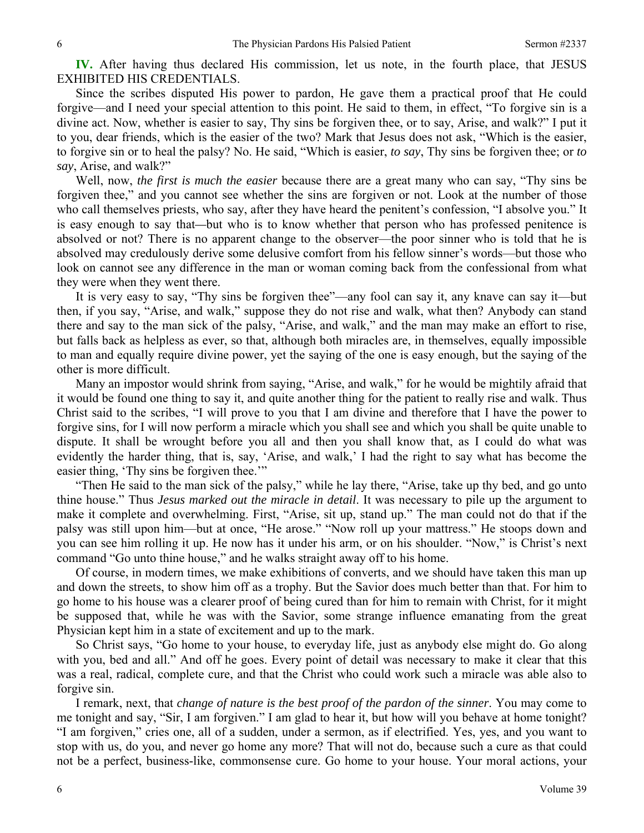**IV.** After having thus declared His commission, let us note, in the fourth place, that JESUS EXHIBITED HIS CREDENTIALS.

Since the scribes disputed His power to pardon, He gave them a practical proof that He could forgive—and I need your special attention to this point. He said to them, in effect, "To forgive sin is a divine act. Now, whether is easier to say, Thy sins be forgiven thee, or to say, Arise, and walk?" I put it to you, dear friends, which is the easier of the two? Mark that Jesus does not ask, "Which is the easier, to forgive sin or to heal the palsy? No. He said, "Which is easier, *to say*, Thy sins be forgiven thee; or *to say*, Arise, and walk?"

Well, now, *the first is much the easier* because there are a great many who can say, "Thy sins be forgiven thee," and you cannot see whether the sins are forgiven or not. Look at the number of those who call themselves priests, who say, after they have heard the penitent's confession, "I absolve you." It is easy enough to say that*—*but who is to know whether that person who has professed penitence is absolved or not? There is no apparent change to the observer—the poor sinner who is told that he is absolved may credulously derive some delusive comfort from his fellow sinner's words—but those who look on cannot see any difference in the man or woman coming back from the confessional from what they were when they went there.

It is very easy to say, "Thy sins be forgiven thee"—any fool can say it, any knave can say it—but then, if you say, "Arise, and walk," suppose they do not rise and walk, what then? Anybody can stand there and say to the man sick of the palsy, "Arise, and walk," and the man may make an effort to rise, but falls back as helpless as ever, so that, although both miracles are, in themselves, equally impossible to man and equally require divine power, yet the saying of the one is easy enough, but the saying of the other is more difficult.

Many an impostor would shrink from saying, "Arise, and walk," for he would be mightily afraid that it would be found one thing to say it, and quite another thing for the patient to really rise and walk. Thus Christ said to the scribes, "I will prove to you that I am divine and therefore that I have the power to forgive sins, for I will now perform a miracle which you shall see and which you shall be quite unable to dispute. It shall be wrought before you all and then you shall know that, as I could do what was evidently the harder thing, that is, say, 'Arise, and walk,' I had the right to say what has become the easier thing, 'Thy sins be forgiven thee.'"

"Then He said to the man sick of the palsy," while he lay there, "Arise, take up thy bed, and go unto thine house." Thus *Jesus marked out the miracle in detail*. It was necessary to pile up the argument to make it complete and overwhelming. First, "Arise, sit up, stand up." The man could not do that if the palsy was still upon him—but at once, "He arose." "Now roll up your mattress." He stoops down and you can see him rolling it up. He now has it under his arm, or on his shoulder. "Now," is Christ's next command "Go unto thine house," and he walks straight away off to his home.

Of course, in modern times, we make exhibitions of converts, and we should have taken this man up and down the streets, to show him off as a trophy. But the Savior does much better than that. For him to go home to his house was a clearer proof of being cured than for him to remain with Christ, for it might be supposed that, while he was with the Savior, some strange influence emanating from the great Physician kept him in a state of excitement and up to the mark.

So Christ says, "Go home to your house, to everyday life, just as anybody else might do. Go along with you, bed and all." And off he goes. Every point of detail was necessary to make it clear that this was a real, radical, complete cure, and that the Christ who could work such a miracle was able also to forgive sin.

I remark, next, that *change of nature is the best proof of the pardon of the sinner*. You may come to me tonight and say, "Sir, I am forgiven." I am glad to hear it, but how will you behave at home tonight? "I am forgiven," cries one, all of a sudden, under a sermon, as if electrified. Yes, yes, and you want to stop with us, do you, and never go home any more? That will not do, because such a cure as that could not be a perfect, business-like, commonsense cure. Go home to your house. Your moral actions, your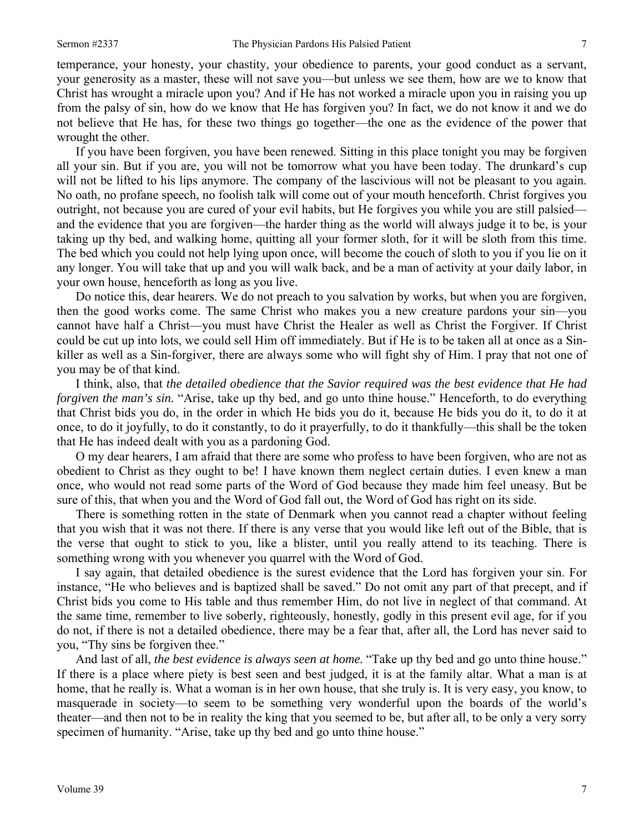temperance, your honesty, your chastity, your obedience to parents, your good conduct as a servant, your generosity as a master, these will not save you—but unless we see them, how are we to know that Christ has wrought a miracle upon you? And if He has not worked a miracle upon you in raising you up from the palsy of sin, how do we know that He has forgiven you? In fact, we do not know it and we do not believe that He has, for these two things go together—the one as the evidence of the power that wrought the other.

If you have been forgiven, you have been renewed. Sitting in this place tonight you may be forgiven all your sin. But if you are, you will not be tomorrow what you have been today. The drunkard's cup will not be lifted to his lips anymore. The company of the lascivious will not be pleasant to you again. No oath, no profane speech, no foolish talk will come out of your mouth henceforth. Christ forgives you outright, not because you are cured of your evil habits, but He forgives you while you are still palsied and the evidence that you are forgiven—the harder thing as the world will always judge it to be, is your taking up thy bed, and walking home, quitting all your former sloth, for it will be sloth from this time. The bed which you could not help lying upon once, will become the couch of sloth to you if you lie on it any longer. You will take that up and you will walk back, and be a man of activity at your daily labor, in your own house, henceforth as long as you live.

Do notice this, dear hearers. We do not preach to you salvation by works, but when you are forgiven, then the good works come. The same Christ who makes you a new creature pardons your sin—you cannot have half a Christ—you must have Christ the Healer as well as Christ the Forgiver. If Christ could be cut up into lots, we could sell Him off immediately. But if He is to be taken all at once as a Sinkiller as well as a Sin-forgiver, there are always some who will fight shy of Him. I pray that not one of you may be of that kind.

I think, also, that *the detailed obedience that the Savior required was the best evidence that He had forgiven the man's sin.* "Arise, take up thy bed, and go unto thine house." Henceforth, to do everything that Christ bids you do, in the order in which He bids you do it, because He bids you do it, to do it at once, to do it joyfully, to do it constantly, to do it prayerfully, to do it thankfully—this shall be the token that He has indeed dealt with you as a pardoning God.

O my dear hearers, I am afraid that there are some who profess to have been forgiven, who are not as obedient to Christ as they ought to be! I have known them neglect certain duties. I even knew a man once, who would not read some parts of the Word of God because they made him feel uneasy. But be sure of this, that when you and the Word of God fall out, the Word of God has right on its side.

There is something rotten in the state of Denmark when you cannot read a chapter without feeling that you wish that it was not there. If there is any verse that you would like left out of the Bible, that is the verse that ought to stick to you, like a blister, until you really attend to its teaching. There is something wrong with you whenever you quarrel with the Word of God.

I say again, that detailed obedience is the surest evidence that the Lord has forgiven your sin. For instance, "He who believes and is baptized shall be saved." Do not omit any part of that precept, and if Christ bids you come to His table and thus remember Him, do not live in neglect of that command. At the same time, remember to live soberly, righteously, honestly, godly in this present evil age, for if you do not, if there is not a detailed obedience, there may be a fear that, after all, the Lord has never said to you, "Thy sins be forgiven thee."

And last of all, *the best evidence is always seen at home.* "Take up thy bed and go unto thine house." If there is a place where piety is best seen and best judged, it is at the family altar. What a man is at home, that he really is. What a woman is in her own house, that she truly is. It is very easy, you know, to masquerade in society—to seem to be something very wonderful upon the boards of the world's theater—and then not to be in reality the king that you seemed to be, but after all, to be only a very sorry specimen of humanity. "Arise, take up thy bed and go unto thine house."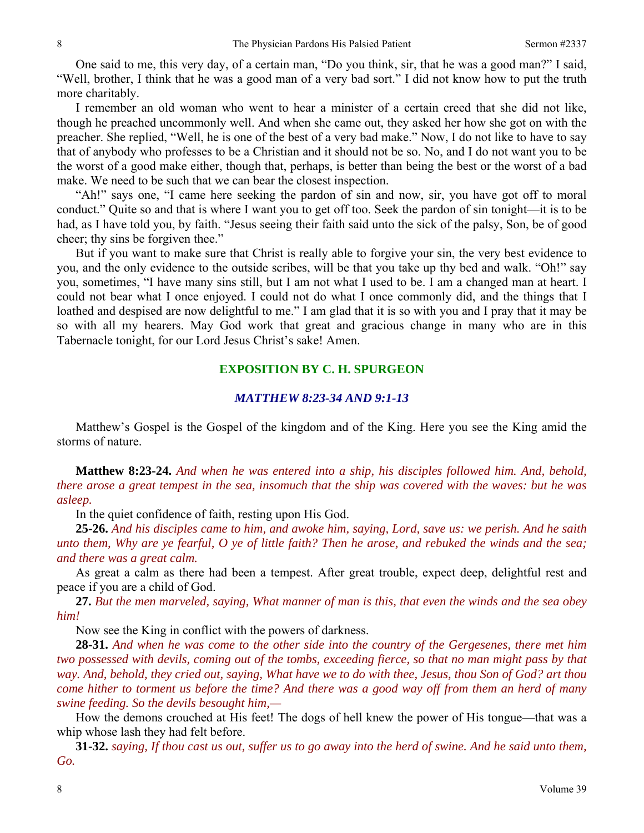One said to me, this very day, of a certain man, "Do you think, sir, that he was a good man?" I said, "Well, brother, I think that he was a good man of a very bad sort." I did not know how to put the truth more charitably.

I remember an old woman who went to hear a minister of a certain creed that she did not like, though he preached uncommonly well. And when she came out, they asked her how she got on with the preacher. She replied, "Well, he is one of the best of a very bad make." Now, I do not like to have to say that of anybody who professes to be a Christian and it should not be so. No, and I do not want you to be the worst of a good make either, though that, perhaps, is better than being the best or the worst of a bad make. We need to be such that we can bear the closest inspection.

"Ah!" says one, "I came here seeking the pardon of sin and now, sir, you have got off to moral conduct." Quite so and that is where I want you to get off too. Seek the pardon of sin tonight—it is to be had, as I have told you, by faith. "Jesus seeing their faith said unto the sick of the palsy, Son, be of good cheer; thy sins be forgiven thee."

But if you want to make sure that Christ is really able to forgive your sin, the very best evidence to you, and the only evidence to the outside scribes, will be that you take up thy bed and walk. "Oh!" say you, sometimes, "I have many sins still, but I am not what I used to be. I am a changed man at heart. I could not bear what I once enjoyed. I could not do what I once commonly did, and the things that I loathed and despised are now delightful to me." I am glad that it is so with you and I pray that it may be so with all my hearers. May God work that great and gracious change in many who are in this Tabernacle tonight, for our Lord Jesus Christ's sake! Amen.

#### **EXPOSITION BY C. H. SPURGEON**

#### *MATTHEW 8:23-34 AND 9:1-13*

Matthew's Gospel is the Gospel of the kingdom and of the King. Here you see the King amid the storms of nature.

**Matthew 8:23-24.** *And when he was entered into a ship, his disciples followed him. And, behold, there arose a great tempest in the sea, insomuch that the ship was covered with the waves: but he was asleep.*

In the quiet confidence of faith, resting upon His God.

**25-26.** *And his disciples came to him, and awoke him, saying, Lord, save us: we perish. And he saith unto them, Why are ye fearful, O ye of little faith? Then he arose, and rebuked the winds and the sea; and there was a great calm.*

As great a calm as there had been a tempest. After great trouble, expect deep, delightful rest and peace if you are a child of God.

**27.** *But the men marveled, saying, What manner of man is this, that even the winds and the sea obey him!* 

Now see the King in conflict with the powers of darkness.

**28-31.** *And when he was come to the other side into the country of the Gergesenes, there met him two possessed with devils, coming out of the tombs, exceeding fierce, so that no man might pass by that way. And, behold, they cried out, saying, What have we to do with thee, Jesus, thou Son of God? art thou come hither to torment us before the time? And there was a good way off from them an herd of many swine feeding. So the devils besought him,—*

How the demons crouched at His feet! The dogs of hell knew the power of His tongue—that was a whip whose lash they had felt before.

**31-32.** *saying, If thou cast us out, suffer us to go away into the herd of swine. And he said unto them, Go.*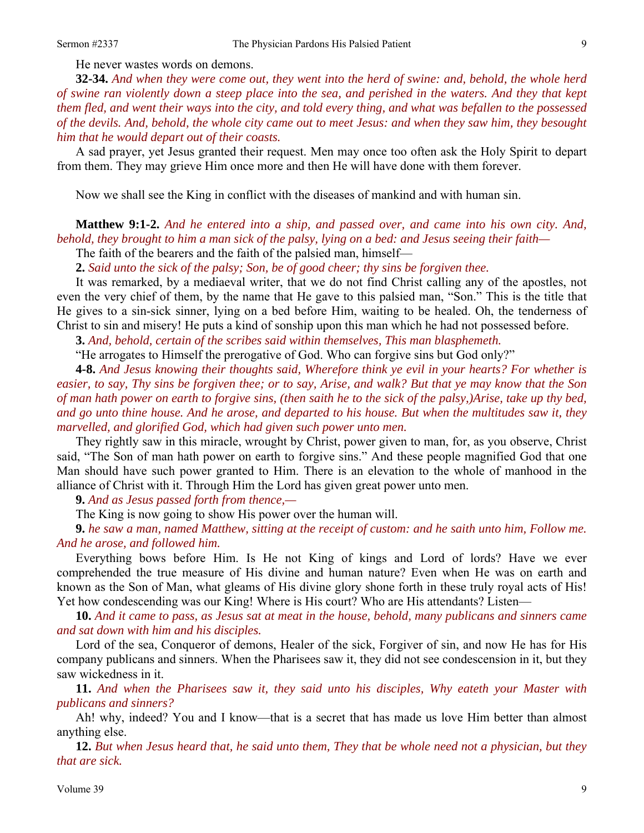He never wastes words on demons.

**32-34.** *And when they were come out, they went into the herd of swine: and, behold, the whole herd of swine ran violently down a steep place into the sea, and perished in the waters. And they that kept them fled, and went their ways into the city, and told every thing, and what was befallen to the possessed of the devils. And, behold, the whole city came out to meet Jesus: and when they saw him, they besought him that he would depart out of their coasts.*

A sad prayer, yet Jesus granted their request. Men may once too often ask the Holy Spirit to depart from them. They may grieve Him once more and then He will have done with them forever.

Now we shall see the King in conflict with the diseases of mankind and with human sin.

**Matthew 9:1-2.** *And he entered into a ship, and passed over, and came into his own city. And, behold, they brought to him a man sick of the palsy, lying on a bed: and Jesus seeing their faith—*

The faith of the bearers and the faith of the palsied man, himself—

**2.** *Said unto the sick of the palsy; Son, be of good cheer; thy sins be forgiven thee.* 

It was remarked, by a mediaeval writer, that we do not find Christ calling any of the apostles, not even the very chief of them, by the name that He gave to this palsied man, "Son." This is the title that He gives to a sin-sick sinner, lying on a bed before Him, waiting to be healed. Oh, the tenderness of Christ to sin and misery! He puts a kind of sonship upon this man which he had not possessed before.

**3.** *And, behold, certain of the scribes said within themselves, This man blasphemeth.* 

"He arrogates to Himself the prerogative of God. Who can forgive sins but God only?"

**4-8.** *And Jesus knowing their thoughts said, Wherefore think ye evil in your hearts? For whether is easier, to say, Thy sins be forgiven thee; or to say, Arise, and walk? But that ye may know that the Son of man hath power on earth to forgive sins, (then saith he to the sick of the palsy,)Arise, take up thy bed, and go unto thine house. And he arose, and departed to his house. But when the multitudes saw it, they marvelled, and glorified God, which had given such power unto men.*

They rightly saw in this miracle, wrought by Christ, power given to man, for, as you observe, Christ said, "The Son of man hath power on earth to forgive sins." And these people magnified God that one Man should have such power granted to Him. There is an elevation to the whole of manhood in the alliance of Christ with it. Through Him the Lord has given great power unto men.

**9.** *And as Jesus passed forth from thence,—* 

The King is now going to show His power over the human will.

**9.** *he saw a man, named Matthew, sitting at the receipt of custom: and he saith unto him, Follow me. And he arose, and followed him.*

Everything bows before Him. Is He not King of kings and Lord of lords? Have we ever comprehended the true measure of His divine and human nature? Even when He was on earth and known as the Son of Man, what gleams of His divine glory shone forth in these truly royal acts of His! Yet how condescending was our King! Where is His court? Who are His attendants? Listen—

**10.** *And it came to pass, as Jesus sat at meat in the house, behold, many publicans and sinners came and sat down with him and his disciples.*

Lord of the sea, Conqueror of demons, Healer of the sick, Forgiver of sin, and now He has for His company publicans and sinners. When the Pharisees saw it, they did not see condescension in it, but they saw wickedness in it.

**11.** *And when the Pharisees saw it, they said unto his disciples, Why eateth your Master with publicans and sinners?*

Ah! why, indeed? You and I know—that is a secret that has made us love Him better than almost anything else.

**12.** *But when Jesus heard that, he said unto them, They that be whole need not a physician, but they that are sick.*